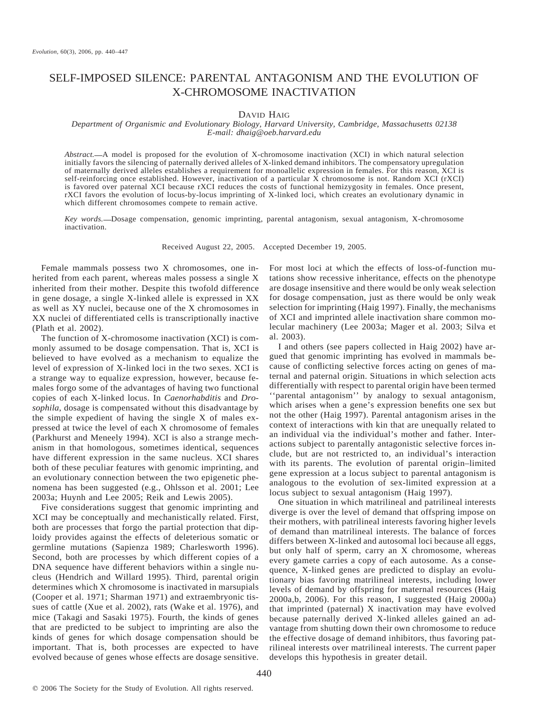# SELF-IMPOSED SILENCE: PARENTAL ANTAGONISM AND THE EVOLUTION OF X-CHROMOSOME INACTIVATION

DAVID HAIG

### *Department of Organismic and Evolutionary Biology, Harvard University, Cambridge, Massachusetts 02138 E-mail: dhaig@oeb.harvard.edu*

*Abstract.* A model is proposed for the evolution of X-chromosome inactivation (XCI) in which natural selection initially favors the silencing of paternally derived alleles of X-linked demand inhibitors. The compensatory upregulation of maternally derived alleles establishes a requirement for monoallelic expression in females. For this reason, XCI is self-reinforcing once established. However, inactivation of a particular X chromosome is not. Random XCI (rXCI) is favored over paternal XCI because rXCI reduces the costs of functional hemizygosity in females. Once present, rXCI favors the evolution of locus-by-locus imprinting of X-linked loci, which creates an evolutionary dynamic in which different chromosomes compete to remain active.

*Key words.* Dosage compensation, genomic imprinting, parental antagonism, sexual antagonism, X-chromosome inactivation.

Received August 22, 2005. Accepted December 19, 2005.

Female mammals possess two X chromosomes, one inherited from each parent, whereas males possess a single X inherited from their mother. Despite this twofold difference in gene dosage, a single X-linked allele is expressed in XX as well as XY nuclei, because one of the X chromosomes in XX nuclei of differentiated cells is transcriptionally inactive (Plath et al. 2002).

The function of X-chromosome inactivation (XCI) is commonly assumed to be dosage compensation. That is, XCI is believed to have evolved as a mechanism to equalize the level of expression of X-linked loci in the two sexes. XCI is a strange way to equalize expression, however, because females forgo some of the advantages of having two functional copies of each X-linked locus. In *Caenorhabditis* and *Drosophila*, dosage is compensated without this disadvantage by the simple expedient of having the single X of males expressed at twice the level of each X chromosome of females (Parkhurst and Meneely 1994). XCI is also a strange mechanism in that homologous, sometimes identical, sequences have different expression in the same nucleus. XCI shares both of these peculiar features with genomic imprinting, and an evolutionary connection between the two epigenetic phenomena has been suggested (e.g., Ohlsson et al. 2001; Lee 2003a; Huynh and Lee 2005; Reik and Lewis 2005).

Five considerations suggest that genomic imprinting and XCI may be conceptually and mechanistically related. First, both are processes that forgo the partial protection that diploidy provides against the effects of deleterious somatic or germline mutations (Sapienza 1989; Charlesworth 1996). Second, both are processes by which different copies of a DNA sequence have different behaviors within a single nucleus (Hendrich and Willard 1995). Third, parental origin determines which X chromosome is inactivated in marsupials (Cooper et al. 1971; Sharman 1971) and extraembryonic tissues of cattle (Xue et al. 2002), rats (Wake et al. 1976), and mice (Takagi and Sasaki 1975). Fourth, the kinds of genes that are predicted to be subject to imprinting are also the kinds of genes for which dosage compensation should be important. That is, both processes are expected to have evolved because of genes whose effects are dosage sensitive. For most loci at which the effects of loss-of-function mutations show recessive inheritance, effects on the phenotype are dosage insensitive and there would be only weak selection for dosage compensation, just as there would be only weak selection for imprinting (Haig 1997). Finally, the mechanisms of XCI and imprinted allele inactivation share common molecular machinery (Lee 2003a; Mager et al. 2003; Silva et al. 2003).

I and others (see papers collected in Haig 2002) have argued that genomic imprinting has evolved in mammals because of conflicting selective forces acting on genes of maternal and paternal origin. Situations in which selection acts differentially with respect to parental origin have been termed ''parental antagonism'' by analogy to sexual antagonism, which arises when a gene's expression benefits one sex but not the other (Haig 1997). Parental antagonism arises in the context of interactions with kin that are unequally related to an individual via the individual's mother and father. Interactions subject to parentally antagonistic selective forces include, but are not restricted to, an individual's interaction with its parents. The evolution of parental origin–limited gene expression at a locus subject to parental antagonism is analogous to the evolution of sex-limited expression at a locus subject to sexual antagonism (Haig 1997).

One situation in which matrilineal and patrilineal interests diverge is over the level of demand that offspring impose on their mothers, with patrilineal interests favoring higher levels of demand than matrilineal interests. The balance of forces differs between X-linked and autosomal loci because all eggs, but only half of sperm, carry an X chromosome, whereas every gamete carries a copy of each autosome. As a consequence, X-linked genes are predicted to display an evolutionary bias favoring matrilineal interests, including lower levels of demand by offspring for maternal resources (Haig 2000a,b, 2006). For this reason, I suggested (Haig 2000a) that imprinted (paternal) X inactivation may have evolved because paternally derived X-linked alleles gained an advantage from shutting down their own chromosome to reduce the effective dosage of demand inhibitors, thus favoring patrilineal interests over matrilineal interests. The current paper develops this hypothesis in greater detail.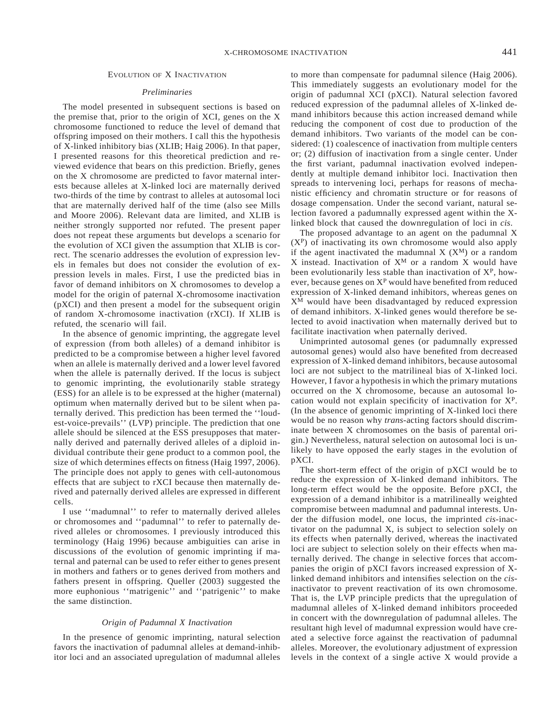# EVOLUTION OF X INACTIVATION

#### *Preliminaries*

The model presented in subsequent sections is based on the premise that, prior to the origin of XCI, genes on the X chromosome functioned to reduce the level of demand that offspring imposed on their mothers. I call this the hypothesis of X-linked inhibitory bias (XLIB; Haig 2006). In that paper, I presented reasons for this theoretical prediction and reviewed evidence that bears on this prediction. Briefly, genes on the X chromosome are predicted to favor maternal interests because alleles at X-linked loci are maternally derived two-thirds of the time by contrast to alleles at autosomal loci that are maternally derived half of the time (also see Mills and Moore 2006). Relevant data are limited, and XLIB is neither strongly supported nor refuted. The present paper does not repeat these arguments but develops a scenario for the evolution of XCI given the assumption that XLIB is correct. The scenario addresses the evolution of expression levels in females but does not consider the evolution of expression levels in males. First, I use the predicted bias in favor of demand inhibitors on X chromosomes to develop a model for the origin of paternal X-chromosome inactivation (pXCI) and then present a model for the subsequent origin of random X-chromosome inactivation (rXCI). If XLIB is refuted, the scenario will fail.

In the absence of genomic imprinting, the aggregate level of expression (from both alleles) of a demand inhibitor is predicted to be a compromise between a higher level favored when an allele is maternally derived and a lower level favored when the allele is paternally derived. If the locus is subject to genomic imprinting, the evolutionarily stable strategy (ESS) for an allele is to be expressed at the higher (maternal) optimum when maternally derived but to be silent when paternally derived. This prediction has been termed the ''loudest-voice-prevails'' (LVP) principle. The prediction that one allele should be silenced at the ESS presupposes that maternally derived and paternally derived alleles of a diploid individual contribute their gene product to a common pool, the size of which determines effects on fitness (Haig 1997, 2006). The principle does not apply to genes with cell-autonomous effects that are subject to rXCI because then maternally derived and paternally derived alleles are expressed in different cells.

I use ''madumnal'' to refer to maternally derived alleles or chromosomes and ''padumnal'' to refer to paternally derived alleles or chromosomes. I previously introduced this terminology (Haig 1996) because ambiguities can arise in discussions of the evolution of genomic imprinting if maternal and paternal can be used to refer either to genes present in mothers and fathers or to genes derived from mothers and fathers present in offspring. Queller (2003) suggested the more euphonious ''matrigenic'' and ''patrigenic'' to make the same distinction.

# *Origin of Padumnal X Inactivation*

In the presence of genomic imprinting, natural selection favors the inactivation of padumnal alleles at demand-inhibitor loci and an associated upregulation of madumnal alleles to more than compensate for padumnal silence (Haig 2006). This immediately suggests an evolutionary model for the origin of padumnal XCI (pXCI). Natural selection favored reduced expression of the padumnal alleles of X-linked demand inhibitors because this action increased demand while reducing the component of cost due to production of the demand inhibitors. Two variants of the model can be considered: (1) coalescence of inactivation from multiple centers or; (2) diffusion of inactivation from a single center. Under the first variant, padumnal inactivation evolved independently at multiple demand inhibitor loci. Inactivation then spreads to intervening loci, perhaps for reasons of mechanistic efficiency and chromatin structure or for reasons of dosage compensation. Under the second variant, natural selection favored a padumnally expressed agent within the Xlinked block that caused the downregulation of loci in *cis*.

The proposed advantage to an agent on the padumnal X  $(X<sup>P</sup>)$  of inactivating its own chromosome would also apply if the agent inactivated the madumnal  $X$  ( $X^M$ ) or a random X instead. Inactivation of  $X^M$  or a random X would have been evolutionarily less stable than inactivation of  $X<sup>P</sup>$ , however, because genes on  $X^P$  would have benefited from reduced expression of X-linked demand inhibitors, whereas genes on XM would have been disadvantaged by reduced expression of demand inhibitors. X-linked genes would therefore be selected to avoid inactivation when maternally derived but to facilitate inactivation when paternally derived.

Unimprinted autosomal genes (or padumnally expressed autosomal genes) would also have benefited from decreased expression of X-linked demand inhibitors, because autosomal loci are not subject to the matrilineal bias of X-linked loci. However, I favor a hypothesis in which the primary mutations occurred on the X chromosome, because an autosomal location would not explain specificity of inactivation for XP. (In the absence of genomic imprinting of X-linked loci there would be no reason why *trans*-acting factors should discriminate between X chromosomes on the basis of parental origin.) Nevertheless, natural selection on autosomal loci is unlikely to have opposed the early stages in the evolution of pXCI.

The short-term effect of the origin of pXCI would be to reduce the expression of X-linked demand inhibitors. The long-term effect would be the opposite. Before pXCI, the expression of a demand inhibitor is a matrilineally weighted compromise between madumnal and padumnal interests. Under the diffusion model, one locus, the imprinted *cis*-inactivator on the padumnal X, is subject to selection solely on its effects when paternally derived, whereas the inactivated loci are subject to selection solely on their effects when maternally derived. The change in selective forces that accompanies the origin of pXCI favors increased expression of Xlinked demand inhibitors and intensifies selection on the *cis*inactivator to prevent reactivation of its own chromosome. That is, the LVP principle predicts that the upregulation of madumnal alleles of X-linked demand inhibitors proceeded in concert with the downregulation of padumnal alleles. The resultant high level of madumnal expression would have created a selective force against the reactivation of padumnal alleles. Moreover, the evolutionary adjustment of expression levels in the context of a single active X would provide a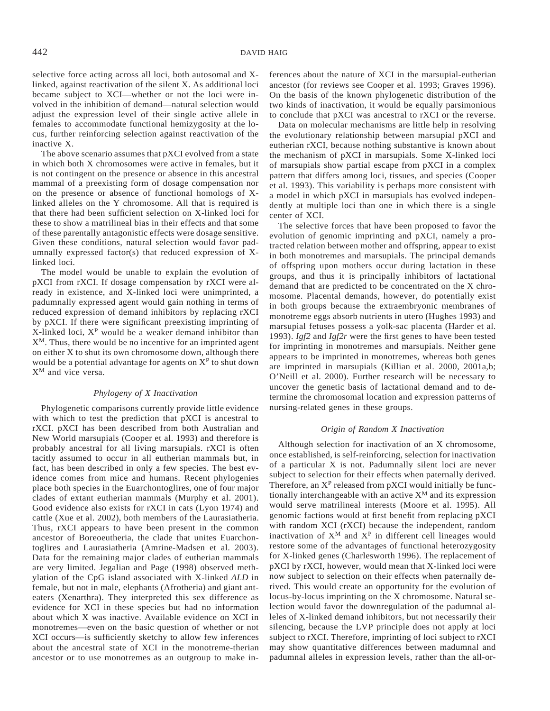selective force acting across all loci, both autosomal and Xlinked, against reactivation of the silent X. As additional loci became subject to XCI—whether or not the loci were involved in the inhibition of demand—natural selection would adjust the expression level of their single active allele in females to accommodate functional hemizygosity at the locus, further reinforcing selection against reactivation of the inactive X.

The above scenario assumes that pXCI evolved from a state in which both X chromosomes were active in females, but it is not contingent on the presence or absence in this ancestral mammal of a preexisting form of dosage compensation nor on the presence or absence of functional homologs of Xlinked alleles on the Y chromosome. All that is required is that there had been sufficient selection on X-linked loci for these to show a matrilineal bias in their effects and that some of these parentally antagonistic effects were dosage sensitive. Given these conditions, natural selection would favor padumnally expressed factor(s) that reduced expression of Xlinked loci.

The model would be unable to explain the evolution of pXCI from rXCI. If dosage compensation by rXCI were already in existence, and X-linked loci were unimprinted, a padumnally expressed agent would gain nothing in terms of reduced expression of demand inhibitors by replacing rXCI by pXCI. If there were significant preexisting imprinting of X-linked loci, XP would be a weaker demand inhibitor than XM. Thus, there would be no incentive for an imprinted agent on either X to shut its own chromosome down, although there would be a potential advantage for agents on XP to shut down  $X^M$  and vice versa.

#### *Phylogeny of X Inactivation*

Phylogenetic comparisons currently provide little evidence with which to test the prediction that pXCI is ancestral to rXCI. pXCI has been described from both Australian and New World marsupials (Cooper et al. 1993) and therefore is probably ancestral for all living marsupials. rXCI is often tacitly assumed to occur in all eutherian mammals but, in fact, has been described in only a few species. The best evidence comes from mice and humans. Recent phylogenies place both species in the Euarchontoglires, one of four major clades of extant eutherian mammals (Murphy et al. 2001). Good evidence also exists for rXCI in cats (Lyon 1974) and cattle (Xue et al. 2002), both members of the Laurasiatheria. Thus, rXCI appears to have been present in the common ancestor of Boreoeutheria, the clade that unites Euarchontoglires and Laurasiatheria (Amrine-Madsen et al. 2003). Data for the remaining major clades of eutherian mammals are very limited. Jegalian and Page (1998) observed methylation of the CpG island associated with X-linked *ALD* in female, but not in male, elephants (Afrotheria) and giant anteaters (Xenarthra). They interpreted this sex difference as evidence for XCI in these species but had no information about which X was inactive. Available evidence on XCI in monotremes—even on the basic question of whether or not XCI occurs—is sufficiently sketchy to allow few inferences about the ancestral state of XCI in the monotreme-therian ancestor or to use monotremes as an outgroup to make inferences about the nature of XCI in the marsupial-eutherian ancestor (for reviews see Cooper et al. 1993; Graves 1996). On the basis of the known phylogenetic distribution of the two kinds of inactivation, it would be equally parsimonious to conclude that pXCI was ancestral to rXCI or the reverse.

Data on molecular mechanisms are little help in resolving the evolutionary relationship between marsupial pXCI and eutherian rXCI, because nothing substantive is known about the mechanism of pXCI in marsupials. Some X-linked loci of marsupials show partial escape from pXCI in a complex pattern that differs among loci, tissues, and species (Cooper et al. 1993). This variability is perhaps more consistent with a model in which pXCI in marsupials has evolved independently at multiple loci than one in which there is a single center of XCI.

The selective forces that have been proposed to favor the evolution of genomic imprinting and pXCI, namely a protracted relation between mother and offspring, appear to exist in both monotremes and marsupials. The principal demands of offspring upon mothers occur during lactation in these groups, and thus it is principally inhibitors of lactational demand that are predicted to be concentrated on the X chromosome. Placental demands, however, do potentially exist in both groups because the extraembryonic membranes of monotreme eggs absorb nutrients in utero (Hughes 1993) and marsupial fetuses possess a yolk-sac placenta (Harder et al. 1993). *Igf2* and *Igf2r* were the first genes to have been tested for imprinting in monotremes and marsupials. Neither gene appears to be imprinted in monotremes, whereas both genes are imprinted in marsupials (Killian et al. 2000, 2001a,b; O'Neill et al. 2000). Further research will be necessary to uncover the genetic basis of lactational demand and to determine the chromosomal location and expression patterns of nursing-related genes in these groups.

### *Origin of Random X Inactivation*

Although selection for inactivation of an X chromosome, once established, is self-reinforcing, selection for inactivation of a particular X is not. Padumnally silent loci are never subject to selection for their effects when paternally derived. Therefore, an  $X<sup>P</sup>$  released from pXCI would initially be functionally interchangeable with an active  $X^M$  and its expression would serve matrilineal interests (Moore et al. 1995). All genomic factions would at first benefit from replacing pXCI with random XCI (rXCI) because the independent, random inactivation of  $X^M$  and  $X^P$  in different cell lineages would restore some of the advantages of functional heterozygosity for X-linked genes (Charlesworth 1996). The replacement of pXCI by rXCI, however, would mean that X-linked loci were now subject to selection on their effects when paternally derived. This would create an opportunity for the evolution of locus-by-locus imprinting on the X chromosome. Natural selection would favor the downregulation of the padumnal alleles of X-linked demand inhibitors, but not necessarily their silencing, because the LVP principle does not apply at loci subject to rXCI. Therefore, imprinting of loci subject to rXCI may show quantitative differences between madumnal and padumnal alleles in expression levels, rather than the all-or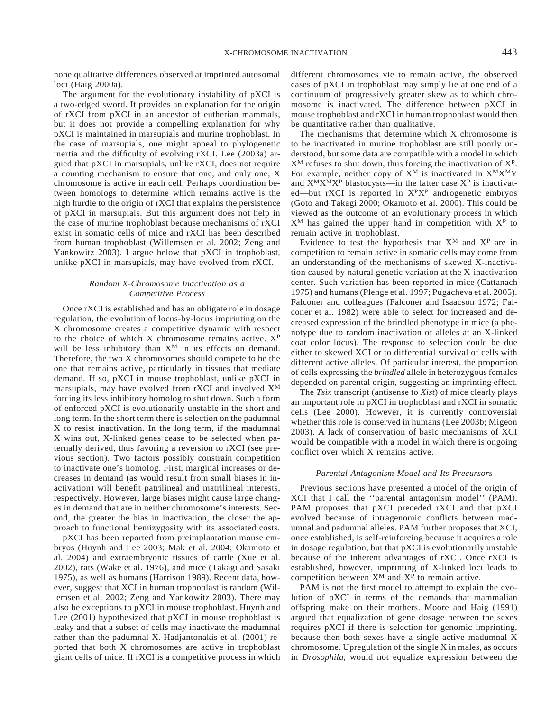none qualitative differences observed at imprinted autosomal loci (Haig 2000a).

The argument for the evolutionary instability of pXCI is a two-edged sword. It provides an explanation for the origin of rXCI from pXCI in an ancestor of eutherian mammals, but it does not provide a compelling explanation for why pXCI is maintained in marsupials and murine trophoblast. In the case of marsupials, one might appeal to phylogenetic inertia and the difficulty of evolving rXCI. Lee (2003a) argued that pXCI in marsupials, unlike rXCI, does not require a counting mechanism to ensure that one, and only one, X chromosome is active in each cell. Perhaps coordination between homologs to determine which remains active is the high hurdle to the origin of rXCI that explains the persistence of pXCI in marsupials. But this argument does not help in the case of murine trophoblast because mechanisms of rXCI exist in somatic cells of mice and rXCI has been described from human trophoblast (Willemsen et al. 2002; Zeng and Yankowitz 2003). I argue below that pXCI in trophoblast, unlike pXCI in marsupials, may have evolved from rXCI.

#### *Random X-Chromosome Inactivation as a Competitive Process*

Once rXCI is established and has an obligate role in dosage regulation, the evolution of locus-by-locus imprinting on the X chromosome creates a competitive dynamic with respect to the choice of which X chromosome remains active. XP will be less inhibitory than  $X^M$  in its effects on demand. Therefore, the two X chromosomes should compete to be the one that remains active, particularly in tissues that mediate demand. If so, pXCI in mouse trophoblast, unlike pXCI in marsupials, may have evolved from rXCI and involved XM forcing its less inhibitory homolog to shut down. Such a form of enforced pXCI is evolutionarily unstable in the short and long term. In the short term there is selection on the padumnal X to resist inactivation. In the long term, if the madumnal X wins out, X-linked genes cease to be selected when paternally derived, thus favoring a reversion to rXCI (see previous section). Two factors possibly constrain competition to inactivate one's homolog. First, marginal increases or decreases in demand (as would result from small biases in inactivation) will benefit patrilineal and matrilineal interests, respectively. However, large biases might cause large changes in demand that are in neither chromosome's interests. Second, the greater the bias in inactivation, the closer the approach to functional hemizygosity with its associated costs.

pXCI has been reported from preimplantation mouse embryos (Huynh and Lee 2003; Mak et al. 2004; Okamoto et al. 2004) and extraembryonic tissues of cattle (Xue et al. 2002), rats (Wake et al. 1976), and mice (Takagi and Sasaki 1975), as well as humans (Harrison 1989). Recent data, however, suggest that XCI in human trophoblast is random (Willemsen et al. 2002; Zeng and Yankowitz 2003). There may also be exceptions to pXCI in mouse trophoblast. Huynh and Lee (2001) hypothesized that pXCI in mouse trophoblast is leaky and that a subset of cells may inactivate the madumnal rather than the padumnal X. Hadjantonakis et al. (2001) reported that both X chromosomes are active in trophoblast giant cells of mice. If rXCI is a competitive process in which

different chromosomes vie to remain active, the observed cases of pXCI in trophoblast may simply lie at one end of a continuum of progressively greater skew as to which chromosome is inactivated. The difference between pXCI in mouse trophoblast and rXCI in human trophoblast would then be quantitative rather than qualitative.

The mechanisms that determine which X chromosome is to be inactivated in murine trophoblast are still poorly understood, but some data are compatible with a model in which  $X^M$  refuses to shut down, thus forcing the inactivation of  $X^P$ . For example, neither copy of  $X^M$  is inactivated in  $X^M X^M Y$ and  $X^M X^M X^P$  blastocysts—in the latter case  $X^P$  is inactivated—but rXCI is reported in  $X^P X^P$  androgenetic embryos (Goto and Takagi 2000; Okamoto et al. 2000). This could be viewed as the outcome of an evolutionary process in which  $X^M$  has gained the upper hand in competition with  $X^P$  to remain active in trophoblast.

Evidence to test the hypothesis that  $X^M$  and  $X^P$  are in competition to remain active in somatic cells may come from an understanding of the mechanisms of skewed X-inactivation caused by natural genetic variation at the X-inactivation center. Such variation has been reported in mice (Cattanach 1975) and humans (Plenge et al. 1997; Pugacheva et al. 2005). Falconer and colleagues (Falconer and Isaacson 1972; Falconer et al. 1982) were able to select for increased and decreased expression of the brindled phenotype in mice (a phenotype due to random inactivation of alleles at an X-linked coat color locus). The response to selection could be due either to skewed XCI or to differential survival of cells with different active alleles. Of particular interest, the proportion of cells expressing the *brindled* allele in heterozygous females depended on parental origin, suggesting an imprinting effect.

The *Tsix* transcript (antisense to *Xist*) of mice clearly plays an important role in pXCI in trophoblast and rXCI in somatic cells (Lee 2000). However, it is currently controversial whether this role is conserved in humans (Lee 2003b; Migeon 2003). A lack of conservation of basic mechanisms of XCI would be compatible with a model in which there is ongoing conflict over which X remains active.

#### *Parental Antagonism Model and Its Precursors*

Previous sections have presented a model of the origin of XCI that I call the ''parental antagonism model'' (PAM). PAM proposes that pXCI preceded rXCI and that pXCI evolved because of intragenomic conflicts between madumnal and padumnal alleles. PAM further proposes that XCI, once established, is self-reinforcing because it acquires a role in dosage regulation, but that pXCI is evolutionarily unstable because of the inherent advantages of rXCI. Once rXCI is established, however, imprinting of X-linked loci leads to competition between  $X^M$  and  $X^P$  to remain active.

PAM is not the first model to attempt to explain the evolution of pXCI in terms of the demands that mammalian offspring make on their mothers. Moore and Haig (1991) argued that equalization of gene dosage between the sexes requires pXCI if there is selection for genomic imprinting, because then both sexes have a single active madumnal X chromosome. Upregulation of the single X in males, as occurs in *Drosophila*, would not equalize expression between the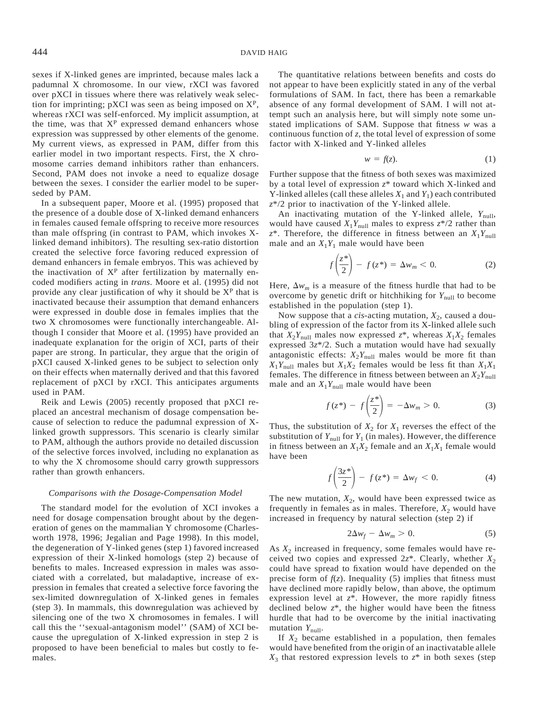sexes if X-linked genes are imprinted, because males lack a padumnal X chromosome. In our view, rXCI was favored over pXCI in tissues where there was relatively weak selection for imprinting; pXCI was seen as being imposed on  $X^P$ , whereas rXCI was self-enforced. My implicit assumption, at the time, was that  $X<sup>P</sup>$  expressed demand enhancers whose expression was suppressed by other elements of the genome. My current views, as expressed in PAM, differ from this earlier model in two important respects. First, the X chromosome carries demand inhibitors rather than enhancers. Second, PAM does not invoke a need to equalize dosage between the sexes. I consider the earlier model to be superseded by PAM.

In a subsequent paper, Moore et al. (1995) proposed that the presence of a double dose of X-linked demand enhancers in females caused female offspring to receive more resources than male offspring (in contrast to PAM, which invokes Xlinked demand inhibitors). The resulting sex-ratio distortion created the selective force favoring reduced expression of demand enhancers in female embryos. This was achieved by the inactivation of  $X<sup>P</sup>$  after fertilization by maternally encoded modifiers acting in *trans*. Moore et al. (1995) did not provide any clear justification of why it should be XP that is inactivated because their assumption that demand enhancers were expressed in double dose in females implies that the two X chromosomes were functionally interchangeable. Although I consider that Moore et al. (1995) have provided an inadequate explanation for the origin of XCI, parts of their paper are strong. In particular, they argue that the origin of pXCI caused X-linked genes to be subject to selection only on their effects when maternally derived and that this favored replacement of pXCI by rXCI. This anticipates arguments used in PAM.

Reik and Lewis (2005) recently proposed that pXCI replaced an ancestral mechanism of dosage compensation because of selection to reduce the padumnal expression of Xlinked growth suppressors. This scenario is clearly similar to PAM, although the authors provide no detailed discussion of the selective forces involved, including no explanation as to why the X chromosome should carry growth suppressors rather than growth enhancers.

# *Comparisons with the Dosage-Compensation Model*

The standard model for the evolution of XCI invokes a need for dosage compensation brought about by the degeneration of genes on the mammalian Y chromosome (Charlesworth 1978, 1996; Jegalian and Page 1998). In this model, the degeneration of Y-linked genes (step 1) favored increased expression of their X-linked homologs (step 2) because of benefits to males. Increased expression in males was associated with a correlated, but maladaptive, increase of expression in females that created a selective force favoring the sex-limited downregulation of X-linked genes in females (step 3). In mammals, this downregulation was achieved by silencing one of the two X chromosomes in females. I will call this the ''sexual-antagonism model'' (SAM) of XCI because the upregulation of X-linked expression in step 2 is proposed to have been beneficial to males but costly to females.

The quantitative relations between benefits and costs do not appear to have been explicitly stated in any of the verbal formulations of SAM. In fact, there has been a remarkable absence of any formal development of SAM. I will not attempt such an analysis here, but will simply note some unstated implications of SAM. Suppose that fitness *w* was a continuous function of *z*, the total level of expression of some factor with X-linked and Y-linked alleles

$$
w = f(z). \tag{1}
$$

Further suppose that the fitness of both sexes was maximized by a total level of expression *z*\* toward which X-linked and Y-linked alleles (call these alleles  $X_1$  and  $Y_1$ ) each contributed *z*\*/2 prior to inactivation of the Y-linked allele.

An inactivating mutation of the Y-linked allele, Y<sub>null</sub>, would have caused  $X_1Y_{\text{null}}$  males to express  $z^{*/2}$  rather than  $z^*$ . Therefore, the difference in fitness between an  $X_1Y_{\text{null}}$ male and an  $X_1Y_1$  male would have been

$$
f\left(\frac{z^*}{2}\right) - f(z^*) = \Delta w_m < 0. \tag{2}
$$

Here,  $\Delta w_m$  is a measure of the fitness hurdle that had to be overcome by genetic drift or hitchhiking for  $Y_{null}$  to become established in the population (step 1).

Now suppose that a *cis*-acting mutation, *X*2, caused a doubling of expression of the factor from its X-linked allele such that  $X_2Y_{\text{null}}$  males now expressed  $z^*$ , whereas  $X_1X_2$  females expressed 3*z*\*/2. Such a mutation would have had sexually antagonistic effects:  $X_2 Y_{\text{null}}$  males would be more fit than  $X_1 Y_{\text{null}}$  males but  $X_1 X_2$  females would be less fit than  $X_1 X_1$ females. The difference in fitness between between an  $X_2Y_{null}$ male and an  $X_1Y_{null}$  male would have been

$$
f(z^*) - f\left(\frac{z^*}{2}\right) = -\Delta w_m > 0. \tag{3}
$$

Thus, the substitution of  $X_2$  for  $X_1$  reverses the effect of the substitution of  $Y_{null}$  for  $Y_1$  (in males). However, the difference in fitness between an  $X_1X_2$  female and an  $X_1X_1$  female would have been

$$
f\left(\frac{3z^*}{2}\right) - f(z^*) = \Delta w_f < 0. \tag{4}
$$

The new mutation,  $X_2$ , would have been expressed twice as frequently in females as in males. Therefore,  $X_2$  would have increased in frequency by natural selection (step 2) if

$$
2\Delta w_f - \Delta w_m > 0. \tag{5}
$$

As  $X_2$  increased in frequency, some females would have received two copies and expressed  $2z^*$ . Clearly, whether  $X_2$ could have spread to fixation would have depended on the precise form of  $f(z)$ . Inequality (5) implies that fitness must have declined more rapidly below, than above, the optimum expression level at  $z^*$ . However, the more rapidly fitness declined below *z*\*, the higher would have been the fitness hurdle that had to be overcome by the initial inactivating mutation  $Y_{\text{null}}$ .

If  $X_2$  became established in a population, then females would have benefited from the origin of an inactivatable allele  $X_3$  that restored expression levels to  $z^*$  in both sexes (step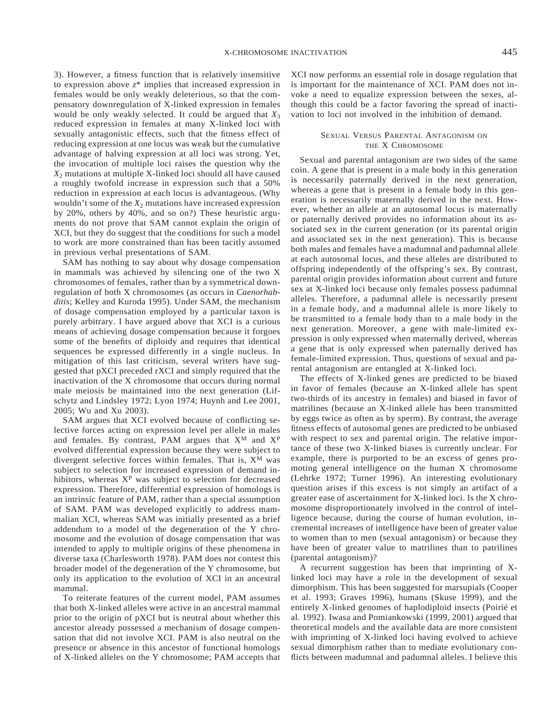3). However, a fitness function that is relatively insensitive to expression above *z*\* implies that increased expression in females would be only weakly deleterious, so that the compensatory downregulation of X-linked expression in females would be only weakly selected. It could be argued that  $X_3$ reduced expression in females at many X-linked loci with sexually antagonistic effects, such that the fitness effect of reducing expression at one locus was weak but the cumulative advantage of halving expression at all loci was strong. Yet, the invocation of multiple loci raises the question why the *X*<sup>2</sup> mutations at multiple X-linked loci should all have caused a roughly twofold increase in expression such that a 50% reduction in expression at each locus is advantageous. (Why wouldn't some of the  $X_2$  mutations have increased expression by 20%, others by 40%, and so on?) These heuristic arguments do not prove that SAM cannot explain the origin of XCI, but they do suggest that the conditions for such a model to work are more constrained than has been tacitly assumed in previous verbal presentations of SAM.

SAM has nothing to say about why dosage compensation in mammals was achieved by silencing one of the two X chromosomes of females, rather than by a symmetrical downregulation of both X chromosomes (as occurs in *Caenorhabditis*; Kelley and Kuroda 1995). Under SAM, the mechanism of dosage compensation employed by a particular taxon is purely arbitrary. I have argued above that XCI is a curious means of achieving dosage compensation because it forgoes some of the benefits of diploidy and requires that identical sequences be expressed differently in a single nucleus. In mitigation of this last criticism, several writers have suggested that pXCI preceded rXCI and simply required that the inactivation of the X chromosome that occurs during normal male meiosis be maintained into the next generation (Lifschytz and Lindsley 1972; Lyon 1974; Huynh and Lee 2001, 2005; Wu and Xu 2003).

SAM argues that XCI evolved because of conflicting selective forces acting on expression level per allele in males and females. By contrast, PAM argues that  $X^M$  and  $X^P$ evolved differential expression because they were subject to divergent selective forces within females. That is,  $X^M$  was subject to selection for increased expression of demand inhibitors, whereas  $X^P$  was subject to selection for decreased expression. Therefore, differential expression of homologs is an intrinsic feature of PAM, rather than a special assumption of SAM. PAM was developed explicitly to address mammalian XCI, whereas SAM was initially presented as a brief addendum to a model of the degeneration of the Y chromosome and the evolution of dosage compensation that was intended to apply to multiple origins of these phenomena in diverse taxa (Charlesworth 1978). PAM does not contest this broader model of the degeneration of the Y chromosome, but only its application to the evolution of XCI in an ancestral mammal.

To reiterate features of the current model, PAM assumes that both X-linked alleles were active in an ancestral mammal prior to the origin of pXCI but is neutral about whether this ancestor already possessed a mechanism of dosage compensation that did not involve XCI. PAM is also neutral on the presence or absence in this ancestor of functional homologs of X-linked alleles on the Y chromosome; PAM accepts that

XCI now performs an essential role in dosage regulation that is important for the maintenance of XCI. PAM does not invoke a need to equalize expression between the sexes, although this could be a factor favoring the spread of inactivation to loci not involved in the inhibition of demand.

## SEXUAL VERSUS PARENTAL ANTAGONISM ON THE X CHROMOSOME

Sexual and parental antagonism are two sides of the same coin. A gene that is present in a male body in this generation is necessarily paternally derived in the next generation, whereas a gene that is present in a female body in this generation is necessarily maternally derived in the next. However, whether an allele at an autosomal locus is maternally or paternally derived provides no information about its associated sex in the current generation (or its parental origin and associated sex in the next generation). This is because both males and females have a madumnal and padumnal allele at each autosomal locus, and these alleles are distributed to offspring independently of the offspring's sex. By contrast, parental origin provides information about current and future sex at X-linked loci because only females possess padumnal alleles. Therefore, a padumnal allele is necessarily present in a female body, and a madumnal allele is more likely to be transmitted to a female body than to a male body in the next generation. Moreover, a gene with male-limited expression is only expressed when maternally derived, whereas a gene that is only expressed when paternally derived has female-limited expression. Thus, questions of sexual and parental antagonism are entangled at X-linked loci.

The effects of X-linked genes are predicted to be biased in favor of females (because an X-linked allele has spent two-thirds of its ancestry in females) and biased in favor of matrilines (because an X-linked allele has been transmitted by eggs twice as often as by sperm). By contrast, the average fitness effects of autosomal genes are predicted to be unbiased with respect to sex and parental origin. The relative importance of these two X-linked biases is currently unclear. For example, there is purported to be an excess of genes promoting general intelligence on the human X chromosome (Lehrke 1972; Turner 1996). An interesting evolutionary question arises if this excess is not simply an artifact of a greater ease of ascertainment for X-linked loci. Is the X chromosome disproportionately involved in the control of intelligence because, during the course of human evolution, incremental increases of intelligence have been of greater value to women than to men (sexual antagonism) or because they have been of greater value to matrilines than to patrilines (parental antagonism)?

A recurrent suggestion has been that imprinting of Xlinked loci may have a role in the development of sexual dimorphism. This has been suggested for marsupials (Cooper et al. 1993; Graves 1996), humans (Skuse 1999), and the entirely X-linked genomes of haplodiploid insects (Poirié et al. 1992). Iwasa and Pomiankowski (1999, 2001) argued that theoretical models and the available data are more consistent with imprinting of X-linked loci having evolved to achieve sexual dimorphism rather than to mediate evolutionary conflicts between madumnal and padumnal alleles. I believe this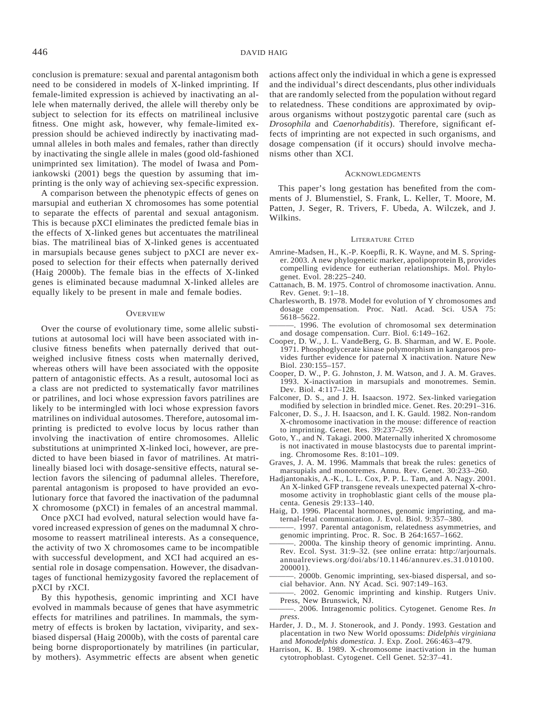conclusion is premature: sexual and parental antagonism both need to be considered in models of X-linked imprinting. If female-limited expression is achieved by inactivating an allele when maternally derived, the allele will thereby only be subject to selection for its effects on matrilineal inclusive fitness. One might ask, however, why female-limited expression should be achieved indirectly by inactivating madumnal alleles in both males and females, rather than directly by inactivating the single allele in males (good old-fashioned unimprinted sex limitation). The model of Iwasa and Pomiankowski (2001) begs the question by assuming that imprinting is the only way of achieving sex-specific expression.

A comparison between the phenotypic effects of genes on marsupial and eutherian X chromosomes has some potential to separate the effects of parental and sexual antagonism. This is because pXCI eliminates the predicted female bias in the effects of X-linked genes but accentuates the matrilineal bias. The matrilineal bias of X-linked genes is accentuated in marsupials because genes subject to pXCI are never exposed to selection for their effects when paternally derived (Haig 2000b). The female bias in the effects of X-linked genes is eliminated because madumnal X-linked alleles are equally likely to be present in male and female bodies.

### **OVERVIEW**

Over the course of evolutionary time, some allelic substitutions at autosomal loci will have been associated with inclusive fitness benefits when paternally derived that outweighed inclusive fitness costs when maternally derived, whereas others will have been associated with the opposite pattern of antagonistic effects. As a result, autosomal loci as a class are not predicted to systematically favor matrilines or patrilines, and loci whose expression favors patrilines are likely to be intermingled with loci whose expression favors matrilines on individual autosomes. Therefore, autosomal imprinting is predicted to evolve locus by locus rather than involving the inactivation of entire chromosomes. Allelic substitutions at unimprinted X-linked loci, however, are predicted to have been biased in favor of matrilines. At matrilineally biased loci with dosage-sensitive effects, natural selection favors the silencing of padumnal alleles. Therefore, parental antagonism is proposed to have provided an evolutionary force that favored the inactivation of the padumnal X chromosome (pXCI) in females of an ancestral mammal.

Once pXCI had evolved, natural selection would have favored increased expression of genes on the madumnal X chromosome to reassert matrilineal interests. As a consequence, the activity of two X chromosomes came to be incompatible with successful development, and XCI had acquired an essential role in dosage compensation. However, the disadvantages of functional hemizygosity favored the replacement of pXCI by rXCI.

By this hypothesis, genomic imprinting and XCI have evolved in mammals because of genes that have asymmetric effects for matrilines and patrilines. In mammals, the symmetry of effects is broken by lactation, viviparity, and sexbiased dispersal (Haig 2000b), with the costs of parental care being borne disproportionately by matrilines (in particular, by mothers). Asymmetric effects are absent when genetic

actions affect only the individual in which a gene is expressed and the individual's direct descendants, plus other individuals that are randomly selected from the population without regard to relatedness. These conditions are approximated by oviparous organisms without postzygotic parental care (such as *Drosophila* and *Caenorhabditis*). Therefore, significant effects of imprinting are not expected in such organisms, and dosage compensation (if it occurs) should involve mechanisms other than XCI.

# **ACKNOWLEDGMENTS**

This paper's long gestation has benefited from the comments of J. Blumenstiel, S. Frank, L. Keller, T. Moore, M. Patten, J. Seger, R. Trivers, F. Ubeda, A. Wilczek, and J. Wilkins.

#### LITERATURE CITED

- Amrine-Madsen, H., K.-P. Koepfli, R. K. Wayne, and M. S. Springer. 2003. A new phylogenetic marker, apolipoprotein B, provides compelling evidence for eutherian relationships. Mol. Phylogenet. Evol. 28:225–240.
- Cattanach, B. M. 1975. Control of chromosome inactivation. Annu. Rev. Genet. 9:1–18.
- Charlesworth, B. 1978. Model for evolution of Y chromosomes and dosage compensation. Proc. Natl. Acad. Sci. USA 75: 5618–5622.
- ———. 1996. The evolution of chromosomal sex determination and dosage compensation. Curr. Biol. 6:149–162.
- Cooper, D. W., J. L. VandeBerg, G. B. Sharman, and W. E. Poole. 1971. Phosphoglycerate kinase polymorphism in kangaroos provides further evidence for paternal X inactivation. Nature New Biol. 230:155–157.
- Cooper, D. W., P. G. Johnston, J. M. Watson, and J. A. M. Graves. 1993. X-inactivation in marsupials and monotremes. Semin. Dev. Biol. 4:117–128.
- Falconer, D. S., and J. H. Isaacson. 1972. Sex-linked variegation modified by selection in brindled mice. Genet. Res. 20:291–316.
- Falconer, D. S., J. H. Isaacson, and I. K. Gauld. 1982. Non-random X-chromosome inactivation in the mouse: difference of reaction to imprinting. Genet. Res. 39:237–259.
- Goto, Y., and N. Takagi. 2000. Maternally inherited X chromosome is not inactivated in mouse blastocysts due to parental imprinting. Chromosome Res. 8:101–109.
- Graves, J. A. M. 1996. Mammals that break the rules: genetics of marsupials and monotremes. Annu. Rev. Genet. 30:233–260.
- Hadjantonakis, A.-K., L. L. Cox, P. P. L. Tam, and A. Nagy. 2001. An X-linked GFP transgene reveals unexpected paternal X-chromosome activity in trophoblastic giant cells of the mouse placenta. Genesis 29:133–140.
- Haig, D. 1996. Placental hormones, genomic imprinting, and maternal-fetal communication. J. Evol. Biol. 9:357–380.
- . 1997. Parental antagonism, relatedness asymmetries, and genomic imprinting. Proc. R. Soc. B 264:1657–1662.
- 2000a. The kinship theory of genomic imprinting. Annu. Rev. Ecol. Syst. 31:9–32. (see online errata: http://arjournals. annualreviews.org/doi/abs/10.1146/annurev.es.31.010100. 200001).
- 2000b. Genomic imprinting, sex-biased dispersal, and social behavior. Ann. NY Acad. Sci. 907:149–163.
- . 2002. Genomic imprinting and kinship. Rutgers Univ. Press, New Brunswick, NJ.
- ———. 2006. Intragenomic politics. Cytogenet. Genome Res. *In press*.
- Harder, J. D., M. J. Stonerook, and J. Pondy. 1993. Gestation and placentation in two New World opossums: *Didelphis virginiana* and *Monodelphis domestica*. J. Exp. Zool. 266:463–479.
- Harrison, K. B. 1989. X-chromosome inactivation in the human cytotrophoblast. Cytogenet. Cell Genet. 52:37–41.